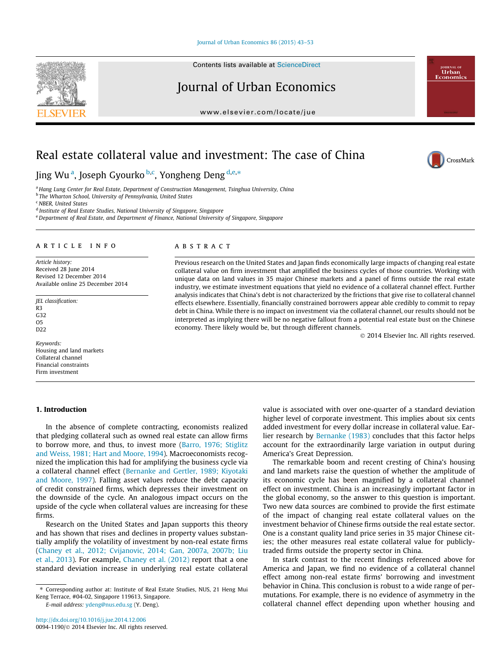### [Journal of Urban Economics 86 \(2015\) 43–53](http://dx.doi.org/10.1016/j.jue.2014.12.006)

Contents lists available at [ScienceDirect](http://www.sciencedirect.com/science/journal/00941190)

# Journal of Urban Economics

[www.elsevier.com/locate/jue](http://www.elsevier.com/locate/jue)

# Real estate collateral value and investment: The case of China

Jing Wu<sup>a</sup>, Joseph Gyourko <sup>b,c</sup>, Yongheng Deng <sup>d,e,\*</sup>

<sup>a</sup> Hang Lung Center for Real Estate, Department of Construction Management, Tsinghua University, China

**b** The Wharton School, University of Pennsylvania, United States

<sup>c</sup> NBER, United States

<sup>d</sup> Institute of Real Estate Studies, National University of Singapore, Singapore

e Department of Real Estate, and Department of Finance, National University of Singapore, Singapore

# article info

Article history: Received 28 June 2014 Revised 12 December 2014 Available online 25 December 2014

JEL classification: R3 G32  $O<sub>5</sub>$ D<sub>22</sub>

Keywords: Housing and land markets Collateral channel Financial constraints Firm investment

# 1. Introduction

**ABSTRACT** 

Previous research on the United States and Japan finds economically large impacts of changing real estate collateral value on firm investment that amplified the business cycles of those countries. Working with unique data on land values in 35 major Chinese markets and a panel of firms outside the real estate industry, we estimate investment equations that yield no evidence of a collateral channel effect. Further analysis indicates that China's debt is not characterized by the frictions that give rise to collateral channel effects elsewhere. Essentially, financially constrained borrowers appear able credibly to commit to repay debt in China. While there is no impact on investment via the collateral channel, our results should not be interpreted as implying there will be no negative fallout from a potential real estate bust on the Chinese economy. There likely would be, but through different channels.

- 2014 Elsevier Inc. All rights reserved.

value is associated with over one-quarter of a standard deviation higher level of corporate investment. This implies about six cents added investment for every dollar increase in collateral value. Earlier research by [Bernanke \(1983\)](#page-10-0) concludes that this factor helps account for the extraordinarily large variation in output during America's Great Depression.

The remarkable boom and recent cresting of China's housing and land markets raise the question of whether the amplitude of its economic cycle has been magnified by a collateral channel effect on investment. China is an increasingly important factor in the global economy, so the answer to this question is important. Two new data sources are combined to provide the first estimate of the impact of changing real estate collateral values on the investment behavior of Chinese firms outside the real estate sector. One is a constant quality land price series in 35 major Chinese cities; the other measures real estate collateral value for publiclytraded firms outside the property sector in China.

In stark contrast to the recent findings referenced above for America and Japan, we find no evidence of a collateral channel effect among non-real estate firms' borrowing and investment behavior in China. This conclusion is robust to a wide range of permutations. For example, there is no evidence of asymmetry in the collateral channel effect depending upon whether housing and

<http://dx.doi.org/10.1016/j.jue.2014.12.006> 0094-1190/© 2014 Elsevier Inc. All rights reserved.

In the absence of complete contracting, economists realized that pledging collateral such as owned real estate can allow firms to borrow more, and thus, to invest more [\(Barro, 1976; Stiglitz](#page-10-0) [and Weiss, 1981; Hart and Moore, 1994\)](#page-10-0). Macroeconomists recognized the implication this had for amplifying the business cycle via a collateral channel effect [\(Bernanke and Gertler, 1989; Kiyotaki](#page-10-0) [and Moore, 1997](#page-10-0)). Falling asset values reduce the debt capacity of credit constrained firms, which depresses their investment on the downside of the cycle. An analogous impact occurs on the upside of the cycle when collateral values are increasing for these firms.

Research on the United States and Japan supports this theory and has shown that rises and declines in property values substantially amplify the volatility of investment by non-real estate firms ([Chaney et al., 2012; Cvijanovic, 2014; Gan, 2007a, 2007b; Liu](#page-10-0) [et al., 2013\)](#page-10-0). For example, [Chaney et al. \(2012\)](#page-10-0) report that a one standard deviation increase in underlying real estate collateral







<sup>⇑</sup> Corresponding author at: Institute of Real Estate Studies, NUS, 21 Heng Mui Keng Terrace, #04-02, Singapore 119613, Singapore. E-mail address: [ydeng@nus.edu.sg](mailto:ydeng@nus.edu.sg) (Y. Deng).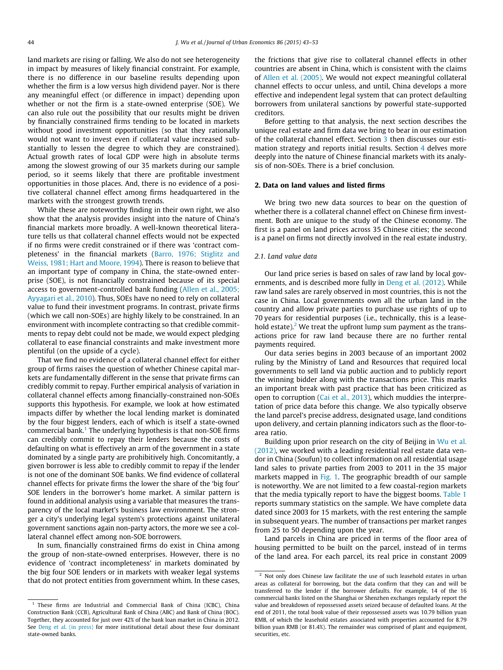land markets are rising or falling. We also do not see heterogeneity in impact by measures of likely financial constraint. For example, there is no difference in our baseline results depending upon whether the firm is a low versus high dividend payer. Nor is there any meaningful effect (or difference in impact) depending upon whether or not the firm is a state-owned enterprise (SOE). We can also rule out the possibility that our results might be driven by financially constrained firms tending to be located in markets without good investment opportunities (so that they rationally would not want to invest even if collateral value increased substantially to lessen the degree to which they are constrained). Actual growth rates of local GDP were high in absolute terms among the slowest growing of our 35 markets during our sample period, so it seems likely that there are profitable investment opportunities in those places. And, there is no evidence of a positive collateral channel effect among firms headquartered in the markets with the strongest growth trends.

While these are noteworthy finding in their own right, we also show that the analysis provides insight into the nature of China's financial markets more broadly. A well-known theoretical literature tells us that collateral channel effects would not be expected if no firms were credit constrained or if there was 'contract completeness' in the financial markets ([Barro, 1976; Stiglitz and](#page-10-0) [Weiss, 1981; Hart and Moore, 1994\)](#page-10-0). There is reason to believe that an important type of company in China, the state-owned enterprise (SOE), is not financially constrained because of its special access to government-controlled bank funding [\(Allen et al., 2005;](#page-10-0) [Ayyagari et al., 2010\)](#page-10-0). Thus, SOEs have no need to rely on collateral value to fund their investment programs. In contrast, private firms (which we call non-SOEs) are highly likely to be constrained. In an environment with incomplete contracting so that credible commitments to repay debt could not be made, we would expect pledging collateral to ease financial constraints and make investment more plentiful (on the upside of a cycle).

That we find no evidence of a collateral channel effect for either group of firms raises the question of whether Chinese capital markets are fundamentally different in the sense that private firms can credibly commit to repay. Further empirical analysis of variation in collateral channel effects among financially-constrained non-SOEs supports this hypothesis. For example, we look at how estimated impacts differ by whether the local lending market is dominated by the four biggest lenders, each of which is itself a state-owned commercial bank.<sup>1</sup> The underlying hypothesis is that non-SOE firms can credibly commit to repay their lenders because the costs of defaulting on what is effectively an arm of the government in a state dominated by a single party are prohibitively high. Concomitantly, a given borrower is less able to credibly commit to repay if the lender is not one of the dominant SOE banks. We find evidence of collateral channel effects for private firms the lower the share of the 'big four' SOE lenders in the borrower's home market. A similar pattern is found in additional analysis using a variable that measures the transparency of the local market's business law environment. The stronger a city's underlying legal system's protections against unilateral government sanctions again non-party actors, the more we see a collateral channel effect among non-SOE borrowers.

In sum, financially constrained firms do exist in China among the group of non-state-owned enterprises. However, there is no evidence of 'contract incompleteness' in markets dominated by the big four SOE lenders or in markets with weaker legal systems that do not protect entities from government whim. In these cases, the frictions that give rise to collateral channel effects in other countries are absent in China, which is consistent with the claims of [Allen et al. \(2005\)](#page-10-0). We would not expect meaningful collateral channel effects to occur unless, and until, China develops a more effective and independent legal system that can protect defaulting borrowers from unilateral sanctions by powerful state-supported creditors.

Before getting to that analysis, the next section describes the unique real estate and firm data we bring to bear in our estimation of the collateral channel effect. Section [3](#page-6-0) then discusses our estimation strategy and reports initial results. Section [4](#page-8-0) delves more deeply into the nature of Chinese financial markets with its analysis of non-SOEs. There is a brief conclusion.

# 2. Data on land values and listed firms

We bring two new data sources to bear on the question of whether there is a collateral channel effect on Chinese firm investment. Both are unique to the study of the Chinese economy. The first is a panel on land prices across 35 Chinese cities; the second is a panel on firms not directly involved in the real estate industry.

# 2.1. Land value data

Our land price series is based on sales of raw land by local governments, and is described more fully in [Deng et al. \(2012\).](#page-10-0) While raw land sales are rarely observed in most countries, this is not the case in China. Local governments own all the urban land in the country and allow private parties to purchase use rights of up to 70 years for residential purposes (i.e., technically, this is a leasehold estate).<sup>2</sup> We treat the upfront lump sum payment as the transactions price for raw land because there are no further rental payments required.

Our data series begins in 2003 because of an important 2002 ruling by the Ministry of Land and Resources that required local governments to sell land via public auction and to publicly report the winning bidder along with the transactions price. This marks an important break with past practice that has been criticized as open to corruption ([Cai et al., 2013](#page-10-0)), which muddies the interpretation of price data before this change. We also typically observe the land parcel's precise address, designated usage, land conditions upon delivery, and certain planning indicators such as the floor-toarea ratio.

Building upon prior research on the city of Beijing in [Wu et al.](#page-10-0) [\(2012\),](#page-10-0) we worked with a leading residential real estate data vendor in China (Soufun) to collect information on all residential usage land sales to private parties from 2003 to 2011 in the 35 major markets mapped in [Fig. 1](#page-2-0). The geographic breadth of our sample is noteworthy. We are not limited to a few coastal-region markets that the media typically report to have the biggest booms. [Table 1](#page-2-0) reports summary statistics on the sample. We have complete data dated since 2003 for 15 markets, with the rest entering the sample in subsequent years. The number of transactions per market ranges from 25 to 50 depending upon the year.

Land parcels in China are priced in terms of the floor area of housing permitted to be built on the parcel, instead of in terms of the land area. For each parcel, its real price in constant 2009

 $1$  These firms are Industrial and Commercial Bank of China (ICBC), China Construction Bank (CCB), Agricultural Bank of China (ABC) and Bank of China (BOC). Together, they accounted for just over 42% of the bank loan market in China in 2012. See [Deng et al. \(in press\)](#page-10-0) for more institutional detail about these four dominant state-owned banks.

Not only does Chinese law facilitate the use of such leasehold estates in urban areas as collateral for borrowing, but the data confirm that they can and will be transferred to the lender if the borrower defaults. For example, 14 of the 16 commercial banks listed on the Shanghai or Shenzhen exchanges regularly report the value and breakdown of repossessed assets seized because of defaulted loans. At the end of 2011, the total book value of their repossessed assets was 10.79 billion yuan RMB, of which the leasehold estates associated with properties accounted for 8.79 billion yuan RMB (or 81.4%). The remainder was comprised of plant and equipment, securities, etc.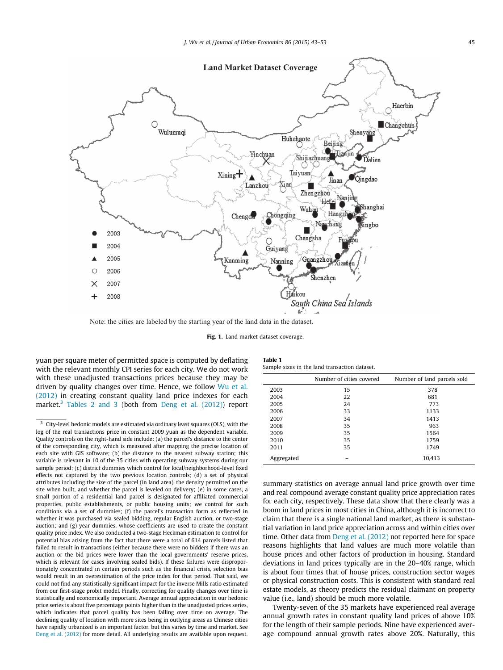<span id="page-2-0"></span>

Note: the cities are labeled by the starting year of the land data in the dataset.

Fig. 1. Land market dataset coverage.

yuan per square meter of permitted space is computed by deflating with the relevant monthly CPI series for each city. We do not work with these unadjusted transactions prices because they may be driven by quality changes over time. Hence, we follow [Wu et al.](#page-10-0) [\(2012\)](#page-10-0) in creating constant quality land price indexes for each market.<sup>3</sup> [Tables 2 and 3](#page-3-0) (both from [Deng et al. \(2012\)](#page-10-0)) report

Table 1 Sample sizes in the land transaction dataset.

|            | Number of cities covered | Number of land parcels sold |
|------------|--------------------------|-----------------------------|
| 2003       | 15                       | 378                         |
| 2004       | 22                       | 681                         |
| 2005       | 24                       | 773                         |
| 2006       | 33                       | 1133                        |
| 2007       | 34                       | 1413                        |
| 2008       | 35                       | 963                         |
| 2009       | 35                       | 1564                        |
| 2010       | 35                       | 1759                        |
| 2011       | 35                       | 1749                        |
| Aggregated |                          | 10,413                      |

summary statistics on average annual land price growth over time and real compound average constant quality price appreciation rates for each city, respectively. These data show that there clearly was a boom in land prices in most cities in China, although it is incorrect to claim that there is a single national land market, as there is substantial variation in land price appreciation across and within cities over time. Other data from [Deng et al. \(2012\)](#page-10-0) not reported here for space reasons highlights that land values are much more volatile than house prices and other factors of production in housing. Standard deviations in land prices typically are in the 20–40% range, which is about four times that of house prices, construction sector wages or physical construction costs. This is consistent with standard real estate models, as theory predicts the residual claimant on property value (i.e., land) should be much more volatile.

Twenty-seven of the 35 markets have experienced real average annual growth rates in constant quality land prices of above 10% for the length of their sample periods. Nine have experienced average compound annual growth rates above 20%. Naturally, this

<sup>3</sup> City-level hedonic models are estimated via ordinary least squares (OLS), with the log of the real transactions price in constant 2009 yuan as the dependent variable. Quality controls on the right-hand side include: (a) the parcel's distance to the center of the corresponding city, which is measured after mapping the precise location of each site with GIS software; (b) the distance to the nearest subway station; this variable is relevant in 10 of the 35 cities with operating subway systems during our sample period; (c) district dummies which control for local/neighborhood-level fixed effects not captured by the two previous location controls; (d) a set of physical attributes including the size of the parcel (in land area), the density permitted on the site when built, and whether the parcel is leveled on delivery; (e) in some cases, a small portion of a residential land parcel is designated for affiliated commercial properties, public establishments, or public housing units; we control for such conditions via a set of dummies; (f) the parcel's transaction form as reflected in whether it was purchased via sealed bidding, regular English auction, or two-stage auction; and  $(g)$  year dummies, whose coefficients are used to create the constant quality price index. We also conducted a two-stage Heckman estimation to control for potential bias arising from the fact that there were a total of 614 parcels listed that failed to result in transactions (either because there were no bidders if there was an auction or the bid prices were lower than the local governments' reserve prices, which is relevant for cases involving sealed bids). If these failures were disproportionately concentrated in certain periods such as the financial crisis, selection bias would result in an overestimation of the price index for that period. That said, we could not find any statistically significant impact for the inverse Mills ratio estimated from our first-stage probit model. Finally, correcting for quality changes over time is statistically and economically important. Average annual appreciation in our hedonic price series is about five percentage points higher than in the unadjusted prices series, which indicates that parcel quality has been falling over time on average. The declining quality of location with more sites being in outlying areas as Chinese cities have rapidly urbanized is an important factor, but this varies by time and market. See [Deng et al. \(2012\)](#page-10-0) for more detail. All underlying results are available upon request.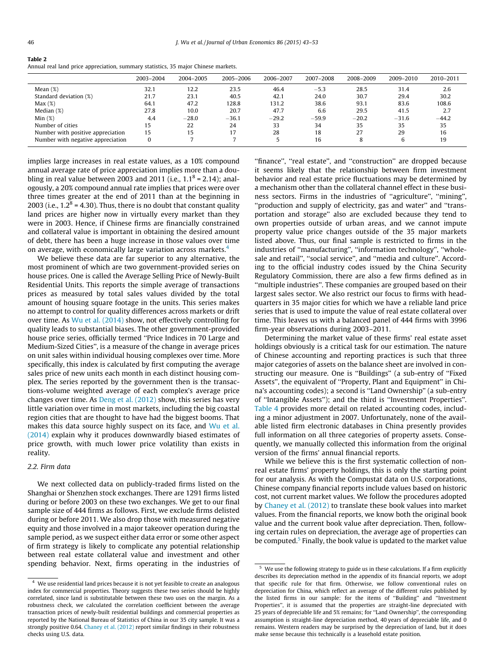<span id="page-3-0"></span>

| Annual real land price appreciation, summary statistics, 35 major Chinese markets. | Table 2 |
|------------------------------------------------------------------------------------|---------|
|                                                                                    |         |

|                                   | 2003-2004 | 2004-2005 | 2005-2006 | 2006-2007 | 2007-2008 | 2008-2009 | 2009-2010 | 2010-2011 |
|-----------------------------------|-----------|-----------|-----------|-----------|-----------|-----------|-----------|-----------|
| Mean $(\%)$                       | 32.1      | 12.2      | 23.5      | 46.4      | $-5.3$    | 28.5      | 31.4      | 2.6       |
| Standard deviation (%)            | 21.7      | 23.1      | 40.5      | 42.1      | 24.0      | 30.7      | 29.4      | 30.2      |
| Max(%)                            | 64.1      | 47.2      | 128.8     | 131.2     | 38.6      | 93.1      | 83.6      | 108.6     |
| Median $(\%)$                     | 27.8      | 10.0      | 20.7      | 47.7      | 6.6       | 29.5      | 41.5      | 2.7       |
| Min(%)                            | 4.4       | $-28.0$   | $-36.1$   | $-29.2$   | $-59.9$   | $-20.2$   | $-31.6$   | $-44.2$   |
| Number of cities                  | 15        | 22        | 24        | 33        | 34        | 35        | 35        | 35        |
| Number with positive appreciation | 15        | 15        |           | 28        | 18        | 27        | 29        | 16        |
| Number with negative appreciation | $\bf{0}$  |           |           |           | 16        | 8         | 6         | 19        |

implies large increases in real estate values, as a 10% compound annual average rate of price appreciation implies more than a doubling in real value between 2003 and 2011 (i.e.,  $1.1^8$  = 2.14); analogously, a 20% compound annual rate implies that prices were over three times greater at the end of 2011 than at the beginning in 2003 (i.e.,  $1.2^8$  = 4.30). Thus, there is no doubt that constant quality land prices are higher now in virtually every market than they were in 2003. Hence, if Chinese firms are financially constrained and collateral value is important in obtaining the desired amount of debt, there has been a huge increase in those values over time on average, with economically large variation across markets.<sup>4</sup>

We believe these data are far superior to any alternative, the most prominent of which are two government-provided series on house prices. One is called the Average Selling Price of Newly-Built Residential Units. This reports the simple average of transactions prices as measured by total sales values divided by the total amount of housing square footage in the units. This series makes no attempt to control for quality differences across markets or drift over time. As [Wu et al. \(2014\)](#page-10-0) show, not effectively controlling for quality leads to substantial biases. The other government-provided house price series, officially termed ''Price Indices in 70 Large and Medium-Sized Cities'', is a measure of the change in average prices on unit sales within individual housing complexes over time. More specifically, this index is calculated by first computing the average sales price of new units each month in each distinct housing complex. The series reported by the government then is the transactions-volume weighted average of each complex's average price changes over time. As [Deng et al. \(2012\)](#page-10-0) show, this series has very little variation over time in most markets, including the big coastal region cities that are thought to have had the biggest booms. That makes this data source highly suspect on its face, and [Wu et al.](#page-10-0) [\(2014\)](#page-10-0) explain why it produces downwardly biased estimates of price growth, with much lower price volatility than exists in reality.

# 2.2. Firm data

We next collected data on publicly-traded firms listed on the Shanghai or Shenzhen stock exchanges. There are 1291 firms listed during or before 2003 on these two exchanges. We get to our final sample size of 444 firms as follows. First, we exclude firms delisted during or before 2011. We also drop those with measured negative equity and those involved in a major takeover operation during the sample period, as we suspect either data error or some other aspect of firm strategy is likely to complicate any potential relationship between real estate collateral value and investment and other spending behavior. Next, firms operating in the industries of ''finance'', ''real estate'', and ''construction'' are dropped because it seems likely that the relationship between firm investment behavior and real estate price fluctuations may be determined by a mechanism other than the collateral channel effect in these business sectors. Firms in the industries of ''agriculture'', ''mining'', ''production and supply of electricity, gas and water'' and ''transportation and storage'' also are excluded because they tend to own properties outside of urban areas, and we cannot impute property value price changes outside of the 35 major markets listed above. Thus, our final sample is restricted to firms in the industries of ''manufacturing'', ''information technology'', ''wholesale and retail", "social service", and "media and culture". According to the official industry codes issued by the China Security Regulatory Commission, there are also a few firms defined as in ''multiple industries''. These companies are grouped based on their largest sales sector. We also restrict our focus to firms with headquarters in 35 major cities for which we have a reliable land price series that is used to impute the value of real estate collateral over time. This leaves us with a balanced panel of 444 firms with 3996 firm-year observations during 2003–2011.

Determining the market value of these firms' real estate asset holdings obviously is a critical task for our estimation. The nature of Chinese accounting and reporting practices is such that three major categories of assets on the balance sheet are involved in constructing our measure. One is ''Buildings'' (a sub-entry of ''Fixed Assets'', the equivalent of ''Property, Plant and Equipment'' in China's accounting codes); a second is ''Land Ownership'' (a sub-entry of ''Intangible Assets''); and the third is ''Investment Properties''. [Table 4](#page-4-0) provides more detail on related accounting codes, including a minor adjustment in 2007. Unfortunately, none of the available listed firm electronic databases in China presently provides full information on all three categories of property assets. Consequently, we manually collected this information from the original version of the firms' annual financial reports.

While we believe this is the first systematic collection of nonreal estate firms' property holdings, this is only the starting point for our analysis. As with the Compustat data on U.S. corporations, Chinese company financial reports include values based on historic cost, not current market values. We follow the procedures adopted by [Chaney et al. \(2012\)](#page-10-0) to translate these book values into market values. From the financial reports, we know both the original book value and the current book value after depreciation. Then, following certain rules on depreciation, the average age of properties can be computed.<sup>5</sup> Finally, the book value is updated to the market value

 $\,^4\,$  We use residential land prices because it is not yet feasible to create an analogous index for commercial properties. Theory suggests these two series should be highly correlated, since land is substitutable between these two uses on the margin. As a robustness check, we calculated the correlation coefficient between the average transaction prices of newly-built residential buildings and commercial properties as reported by the National Bureau of Statistics of China in our 35 city sample. It was a strongly positive 0.64. [Chaney et al. \(2012\)](#page-10-0) report similar findings in their robustness checks using U.S. data.

 $5$  We use the following strategy to guide us in these calculations. If a firm explicitly describes its depreciation method in the appendix of its financial reports, we adopt that specific rule for that firm. Otherwise, we follow conventional rules on depreciation for China, which reflect an average of the different rules published by the listed firms in our sample: for the items of ''Building'' and ''Investment Properties'', it is assumed that the properties are straight-line depreciated with 25 years of depreciable life and 5% remains; for ''Land Ownership'', the corresponding assumption is straight-line depreciation method, 40 years of depreciable life, and 0 remains. Western readers may be surprised by the depreciation of land, but it does make sense because this technically is a leasehold estate position.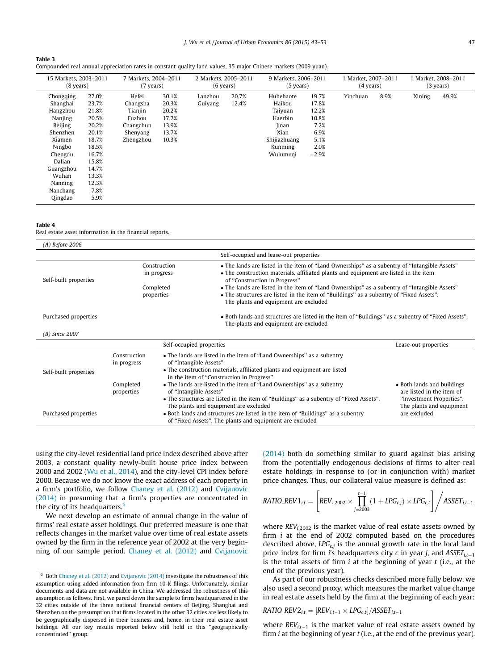### <span id="page-4-0"></span>Table 3

|  | Compounded real annual appreciation rates in constant quality land values, 35 major Chinese markets (2009 yuan). |  |  |  |  |  |  |
|--|------------------------------------------------------------------------------------------------------------------|--|--|--|--|--|--|
|  |                                                                                                                  |  |  |  |  |  |  |

| 15 Markets, 2003-2011<br>$(8 \text{ years})$ |       | 7 Markets, 2004-2011<br>$(7 \text{ years})$ |       |         | 2 Markets, 2005-2011<br>$(6 \text{ years})$ |              | 9 Markets, 2006-2011<br>$(5$ years) |          | 1 Market, 2007-2011<br>$(4 \text{ years})$ |        | 1 Market, 2008-2011<br>$(3 \text{ years})$ |  |
|----------------------------------------------|-------|---------------------------------------------|-------|---------|---------------------------------------------|--------------|-------------------------------------|----------|--------------------------------------------|--------|--------------------------------------------|--|
| Chongqing                                    | 27.0% | Hefei                                       | 30.1% | Lanzhou | 20.7%                                       | Huhehaote    | 19.7%                               | Yinchuan | 8.9%                                       | Xining | 49.9%                                      |  |
| Shanghai                                     | 23.7% | Changsha                                    | 20.3% | Guiyang | 12.4%                                       | Haikou       | 17.8%                               |          |                                            |        |                                            |  |
| Hangzhou                                     | 21.8% | Tianjin                                     | 20.2% |         |                                             | Taiyuan      | 12.2%                               |          |                                            |        |                                            |  |
| Nanjing                                      | 20.5% | Fuzhou                                      | 17.7% |         |                                             | Haerbin      | 10.8%                               |          |                                            |        |                                            |  |
| Beijing                                      | 20.2% | Changchun                                   | 13.9% |         |                                             | <b>Jinan</b> | 7.2%                                |          |                                            |        |                                            |  |
| Shenzhen                                     | 20.1% | Shenyang                                    | 13.7% |         |                                             | Xian         | 6.9%                                |          |                                            |        |                                            |  |
| Xiamen                                       | 18.7% | Zhengzhou                                   | 10.3% |         |                                             | Shijiazhuang | 5.1%                                |          |                                            |        |                                            |  |
| Ningbo                                       | 18.5% |                                             |       |         |                                             | Kunming      | 2.0%                                |          |                                            |        |                                            |  |
| Chengdu                                      | 16.7% |                                             |       |         |                                             | Wulumuqi     | $-2.9%$                             |          |                                            |        |                                            |  |
| Dalian                                       | 15.8% |                                             |       |         |                                             |              |                                     |          |                                            |        |                                            |  |
| Guangzhou                                    | 14.7% |                                             |       |         |                                             |              |                                     |          |                                            |        |                                            |  |
| Wuhan                                        | 13.3% |                                             |       |         |                                             |              |                                     |          |                                            |        |                                            |  |
| Nanning                                      | 12.3% |                                             |       |         |                                             |              |                                     |          |                                            |        |                                            |  |
| Nanchang                                     | 7.8%  |                                             |       |         |                                             |              |                                     |          |                                            |        |                                            |  |
| Qingdao                                      | 5.9%  |                                             |       |         |                                             |              |                                     |          |                                            |        |                                            |  |

### Table 4

Real estate asset information in the financial reports.

| (A) Before 2006       |                             |                                                                                                                                                                                                                                                             |                                                                                                                 |  |  |  |
|-----------------------|-----------------------------|-------------------------------------------------------------------------------------------------------------------------------------------------------------------------------------------------------------------------------------------------------------|-----------------------------------------------------------------------------------------------------------------|--|--|--|
|                       |                             | Self-occupied and lease-out properties                                                                                                                                                                                                                      |                                                                                                                 |  |  |  |
| Self-built properties |                             | • The lands are listed in the item of "Land Ownerships" as a subentry of "Intangible Assets"<br>Construction<br>• The construction materials, affiliated plants and equipment are listed in the item<br>in progress<br>of "Construction in Progress"        |                                                                                                                 |  |  |  |
|                       |                             | • The lands are listed in the item of "Land Ownerships" as a subentry of "Intangible Assets"<br>Completed<br>• The structures are listed in the item of "Buildings" as a subentry of "Fixed Assets".<br>properties<br>The plants and equipment are excluded |                                                                                                                 |  |  |  |
| Purchased properties  |                             | • Both lands and structures are listed in the item of "Buildings" as a subentry of "Fixed Assets".                                                                                                                                                          |                                                                                                                 |  |  |  |
| (B) Since 2007        |                             |                                                                                                                                                                                                                                                             |                                                                                                                 |  |  |  |
|                       |                             | Self-occupied properties                                                                                                                                                                                                                                    | Lease-out properties                                                                                            |  |  |  |
| Self-built properties | Construction<br>in progress | • The lands are listed in the item of "Land Ownerships" as a subentry<br>of "Intangible Assets"<br>• The construction materials, affiliated plants and equipment are listed<br>in the item of "Construction in Progress"                                    |                                                                                                                 |  |  |  |
|                       | Completed<br>properties     | • The lands are listed in the item of "Land Ownerships" as a subentry<br>of "Intangible Assets"<br>• The structures are listed in the item of "Buildings" as a subentry of "Fixed Assets".<br>The plants and equipment are excluded                         | • Both lands and buildings<br>are listed in the item of<br>"Investment Properties".<br>The plants and equipment |  |  |  |
| Purchased properties  |                             | • Both lands and structures are listed in the item of "Buildings" as a subentry<br>are excluded<br>of "Fixed Assets". The plants and equipment are excluded                                                                                                 |                                                                                                                 |  |  |  |

using the city-level residential land price index described above after 2003, a constant quality newly-built house price index between 2000 and 2002 [\(Wu et al., 2014](#page-10-0)), and the city-level CPI index before 2000. Because we do not know the exact address of each property in a firm's portfolio, we follow [Chaney et al. \(2012\)](#page-10-0) and [Cvijanovic](#page-10-0) [\(2014\)](#page-10-0) in presuming that a firm's properties are concentrated in the city of its headquarters. $6$ 

We next develop an estimate of annual change in the value of firms' real estate asset holdings. Our preferred measure is one that reflects changes in the market value over time of real estate assets owned by the firm in the reference year of 2002 at the very beginning of our sample period. [Chaney et al. \(2012\)](#page-10-0) and [Cvijanovic](#page-10-0) [\(2014\)](#page-10-0) both do something similar to guard against bias arising from the potentially endogenous decisions of firms to alter real estate holdings in response to (or in conjunction with) market price changes. Thus, our collateral value measure is defined as:

$$
RATIO\_REV1_{i,t} = \left[ REV_{i,2002} \times \prod_{j=2003}^{t-1} (1 + LPG_{c,j}) \times LPG_{c,t} \right] / ASSET_{i,t-1}
$$

where  $REV_{i,2002}$  is the market value of real estate assets owned by firm  $i$  at the end of 2002 computed based on the procedures described above,  $LPG_{c,i}$  is the annual growth rate in the local land price index for firm i's headquarters city  $c$  in year j, and ASSET $_{i,t-1}$ is the total assets of firm  $i$  at the beginning of year  $t$  (i.e., at the end of the previous year).

As part of our robustness checks described more fully below, we also used a second proxy, which measures the market value change in real estate assets held by the firm at the beginning of each year:

$$
RATIO\_REV2_{i,t} = [REV_{i,t-1} \times LPG_{c,t}]/ASSET_{i,t-1}
$$

where  $REV_{i,t-1}$  is the market value of real estate assets owned by firm  $i$  at the beginning of year  $t$  (i.e., at the end of the previous year).

Both [Chaney et al. \(2012\)](#page-10-0) and [Cvijanovic \(2014\)](#page-10-0) investigate the robustness of this assumption using added information from firm 10-K filings. Unfortunately, similar documents and data are not available in China. We addressed the robustness of this assumption as follows. First, we pared down the sample to firms headquartered in the 32 cities outside of the three national financial centers of Beijing, Shanghai and Shenzhen on the presumption that firms located in the other 32 cities are less likely to be geographically dispersed in their business and, hence, in their real estate asset holdings. All our key results reported below still hold in this ''geographically concentrated'' group.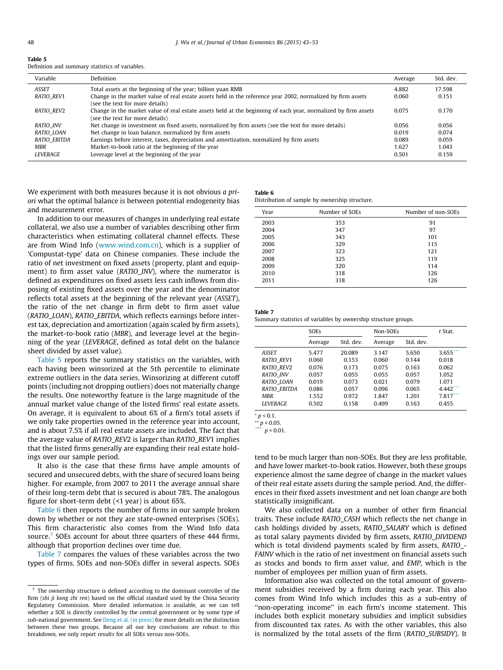| Table 5                                         |  |
|-------------------------------------------------|--|
| Definition and summary statistics of variables. |  |

| Variable          | Definition                                                                                                                                        | Average | Std. dev. |
|-------------------|---------------------------------------------------------------------------------------------------------------------------------------------------|---------|-----------|
| <b>ASSET</b>      | Total assets at the beginning of the year; billion yuan RMB                                                                                       | 4.882   | 17.598    |
| <b>RATIO REV1</b> | Change in the market value of real estate assets held in the reference year 2002, normalized by firm assets<br>(see the text for more details)    | 0.060   | 0.151     |
| RATIO REV2        | Change in the market value of real estate assets held at the beginning of each year, normalized by firm assets<br>(see the text for more details) | 0.075   | 0.170     |
| <b>RATIO INV</b>  | Net change in investment on fixed assets, normalized by firm assets (see the text for more details)                                               | 0.056   | 0.056     |
| RATIO LOAN        | Net change in loan balance, normalized by firm assets                                                                                             | 0.019   | 0.074     |
| RATIO EBITDA      | Earnings before interest, taxes, depreciation and amortization, normalized by firm assets                                                         | 0.089   | 0.059     |
| MBR               | Market-to-book ratio at the beginning of the year                                                                                                 | 1.627   | 1.043     |
| <b>LEVERAGE</b>   | Leverage level at the beginning of the year                                                                                                       | 0.501   | 0.159     |

We experiment with both measures because it is not obvious *a pri*ori what the optimal balance is between potential endogeneity bias and measurement error.

In addition to our measures of changes in underlying real estate collateral, we also use a number of variables describing other firm characteristics when estimating collateral channel effects. These are from Wind Info ([www.wind.com.cn\)](http://www.wind.com.cn), which is a supplier of 'Compustat-type' data on Chinese companies. These include the ratio of net investment on fixed assets (property, plant and equipment) to firm asset value (RATIO\_INV), where the numerator is defined as expenditures on fixed assets less cash inflows from disposing of existing fixed assets over the year and the denominator reflects total assets at the beginning of the relevant year (ASSET), the ratio of the net change in firm debt to firm asset value (RATIO\_LOAN), RATIO\_EBITDA, which reflects earnings before interest tax, depreciation and amortization (again scaled by firm assets), the market-to-book ratio (MBR), and leverage level at the beginning of the year (LEVERAGE, defined as total debt on the balance sheet divided by asset value).

Table 5 reports the summary statistics on the variables, with each having been winsorized at the 5th percentile to eliminate extreme outliers in the data series. Winsorizing at different cutoff points (including not dropping outliers) does not materially change the results. One noteworthy feature is the large magnitude of the annual market value change of the listed firms' real estate assets. On average, it is equivalent to about 6% of a firm's total assets if we only take properties owned in the reference year into account, and is about 7.5% if all real estate assets are included. The fact that the average value of RATIO\_REV2 is larger than RATIO\_REV1 implies that the listed firms generally are expanding their real estate holdings over our sample period.

It also is the case that these firms have ample amounts of secured and unsecured debts, with the share of secured loans being higher. For example, from 2007 to 2011 the average annual share of their long-term debt that is secured is about 78%. The analogous figure for short-term debt (<1 year) is about 65%.

Table 6 then reports the number of firms in our sample broken down by whether or not they are state-owned enterprises (SOEs). This firm characteristic also comes from the Wind Info data source.<sup>7</sup> SOEs account for about three quarters of these 444 firms, although that proportion declines over time due.

Table 7 compares the values of these variables across the two types of firms. SOEs and non-SOEs differ in several aspects. SOEs

# Table 6

Distribution of sample by ownership structure.

| Year | Number of SOEs | Number of non-SOEs |
|------|----------------|--------------------|
| 2003 | 353            | 91                 |
| 2004 | 347            | 97                 |
| 2005 | 343            | 101                |
| 2006 | 329            | 115                |
| 2007 | 323            | 121                |
| 2008 | 325            | 119                |
| 2009 | 320            | 114                |
| 2010 | 318            | 126                |
| 2011 | 318            | 126                |
|      |                |                    |

| Table 7 |  |  |
|---------|--|--|
|         |  |  |

Summary statistics of variables by ownership structure groups.

|                     | <b>SOEs</b> |           | Non-SOEs |           | t Stat. |
|---------------------|-------------|-----------|----------|-----------|---------|
|                     | Average     | Std. dev. | Average  | Std. dev. |         |
| <b>ASSET</b>        | 5.477       | 20.089    | 3.147    | 5.650     | 3.655   |
| RATIO REV1          | 0.060       | 0.153     | 0.060    | 0.144     | 0.018   |
| RATIO REV2          | 0.076       | 0.173     | 0.075    | 0.163     | 0.062   |
| <b>RATIO INV</b>    | 0.057       | 0.055     | 0.055    | 0.057     | 1.052   |
| RATIO LOAN          | 0.019       | 0.073     | 0.021    | 0.079     | 1.071   |
| <b>RATIO EBITDA</b> | 0.086       | 0.057     | 0.096    | 0.065     | 4.442   |
| <b>MBR</b>          | 1.552       | 0.972     | 1.847    | 1.201     | 7.817   |
| <b>LEVERAGE</b>     | 0.502       | 0.158     | 0.499    | 0.163     | 0.455   |

 $p < 0.1$ .

 $*$ <sup>\*</sup>/\*  $p$  < 0.05.

 $n < 0.01$ .

tend to be much larger than non-SOEs. But they are less profitable, and have lower market-to-book ratios. However, both these groups experience almost the same degree of change in the market values of their real estate assets during the sample period. And, the differences in their fixed assets investment and net loan change are both statistically insignificant.

We also collected data on a number of other firm financial traits. These include RATIO\_CASH which reflects the net change in cash holdings divided by assets, RATIO\_SALARY which is defined as total salary payments divided by firm assets, RATIO\_DIVIDEND which is total dividend payments scaled by firm assets, RATIO\_- FAINV which is the ratio of net investment on financial assets such as stocks and bonds to firm asset value, and EMP, which is the number of employees per million yuan of firm assets.

Information also was collected on the total amount of government subsidies received by a firm during each year. This also comes from Wind Info which includes this as a sub-entry of "non-operating income" in each firm's income statement. This includes both explicit monetary subsidies and implicit subsidies from discounted tax rates. As with the other variables, this also is normalized by the total assets of the firm (RATIO\_SUBSIDY). It

The ownership structure is defined according to the dominant controller of the firm (shi ji kong zhi ren) based on the official standard used by the China Security Regulatory Commission. More detailed information is available, as we can tell whether a SOE is directly controlled by the central government or by some type of sub-national government. See [Deng et al. \(in press\)](#page-10-0) for more details on the distinction between these two groups. Because all our key conclusions are robust to this breakdown, we only report results for all SOEs versus non-SOEs.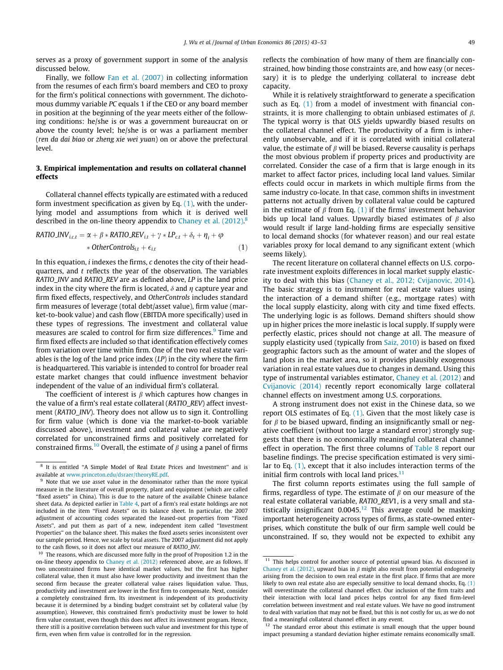<span id="page-6-0"></span>serves as a proxy of government support in some of the analysis discussed below.

Finally, we follow [Fan et al. \(2007\)](#page-10-0) in collecting information from the resumes of each firm's board members and CEO to proxy for the firm's political connections with government. The dichotomous dummy variable PC equals 1 if the CEO or any board member in position at the beginning of the year meets either of the following conditions: he/she is or was a government bureaucrat on or above the county level; he/she is or was a parliament member (ren da dai biao or zheng xie wei yuan) on or above the prefectural level.

# 3. Empirical implementation and results on collateral channel effects

Collateral channel effects typically are estimated with a reduced form investment specification as given by Eq.  $(1)$ , with the underlying model and assumptions from which it is derived well described in the on-line theory appendix to Chaney et al.  $(2012)^8$ 

RATIO<sub>i, c,t</sub> = 
$$
\alpha + \beta * RATIO\_REV_{i,t} + \gamma * LP_{c,t} + \delta_t + \eta_i + \varphi
$$
  
\n
$$
* OtherControls_{i,t} + \epsilon_{i,t}
$$
 (1)

In this equation, i indexes the firms, c denotes the city of their headquarters, and  $t$  reflects the year of the observation. The variables RATIO\_INV and RATIO\_REV are as defined above, LP is the land price index in the city where the firm is located,  $\delta$  and  $\eta$  capture year and firm fixed effects, respectively, and OtherControls includes standard firm measures of leverage (total debt/asset value), firm value (market-to-book value) and cash flow (EBITDA more specifically) used in these types of regressions. The investment and collateral value measures are scaled to control for firm size differences.<sup>9</sup> Time and firm fixed effects are included so that identification effectively comes from variation over time within firm. One of the two real estate variables is the log of the land price index  $(1P)$  in the city where the firm is headquartered. This variable is intended to control for broader real estate market changes that could influence investment behavior independent of the value of an individual firm's collateral.

The coefficient of interest is  $\beta$  which captures how changes in the value of a firm's real estate collateral (RATIO\_REV) affect investment (RATIO\_INV). Theory does not allow us to sign it. Controlling for firm value (which is done via the market-to-book variable discussed above), investment and collateral value are negatively correlated for unconstrained firms and positively correlated for constrained firms.<sup>10</sup> Overall, the estimate of  $\beta$  using a panel of firms reflects the combination of how many of them are financially constrained, how binding those constraints are, and how easy (or necessary) it is to pledge the underlying collateral to increase debt capacity.

While it is relatively straightforward to generate a specification such as Eq. (1) from a model of investment with financial constraints, it is more challenging to obtain unbiased estimates of  $\beta$ . The typical worry is that OLS yields upwardly biased results on the collateral channel effect. The productivity of a firm is inherently unobservable, and if it is correlated with initial collateral value, the estimate of  $\beta$  will be biased. Reverse causality is perhaps the most obvious problem if property prices and productivity are correlated. Consider the case of a firm that is large enough in its market to affect factor prices, including local land values. Similar effects could occur in markets in which multiple firms from the same industry co-locate. In that case, common shifts in investment patterns not actually driven by collateral value could be captured in the estimate of  $\beta$  from Eq. (1) if the firms' investment behavior bids up local land values. Upwardly biased estimates of  $\beta$  also would result if large land-holding firms are especially sensitive to local demand shocks (for whatever reason) and our real estate variables proxy for local demand to any significant extent (which seems likely).

The recent literature on collateral channel effects on U.S. corporate investment exploits differences in local market supply elasticity to deal with this bias [\(Chaney et al., 2012; Cvijanovic, 2014\)](#page-10-0). The basic strategy is to instrument for real estate values using the interaction of a demand shifter (e.g., mortgage rates) with the local supply elasticity, along with city and time fixed effects. The underlying logic is as follows. Demand shifters should show up in higher prices the more inelastic is local supply. If supply were perfectly elastic, prices should not change at all. The measure of supply elasticity used (typically from [Saiz, 2010](#page-10-0)) is based on fixed geographic factors such as the amount of water and the slopes of land plots in the market area, so it provides plausibly exogenous variation in real estate values due to changes in demand. Using this type of instrumental variables estimator, [Chaney et al. \(2012\)](#page-10-0) and [Cvijanovic \(2014\)](#page-10-0) recently report economically large collateral channel effects on investment among U.S. corporations.

A strong instrument does not exist in the Chinese data, so we report OLS estimates of Eq.  $(1)$ . Given that the most likely case is for  $\beta$  to be biased upward, finding an insignificantly small or negative coefficient (without too large a standard error) strongly suggests that there is no economically meaningful collateral channel effect in operation. The first three columns of [Table 8](#page-7-0) report our baseline findings. The precise specification estimated is very similar to Eq. (1), except that it also includes interaction terms of the initial firm controls with local land prices. $<sup>11</sup>$ </sup>

The first column reports estimates using the full sample of firms, regardless of type. The estimate of  $\beta$  on our measure of the real estate collateral variable, RATIO\_REV1, is a very small and statistically insignificant  $0.0045$ .<sup>12</sup> This average could be masking important heterogeneity across types of firms, as state-owned enterprises, which constitute the bulk of our firm sample well could be unconstrained. If so, they would not be expected to exhibit any

<sup>8</sup> It is entitled ''A Simple Model of Real Estate Prices and Investment'' and is available at [www.princeton.edu/dsraer/theoryRE.pdf](http://www.princeton.edu/dsraer/theoryRE.pdf).

<sup>&</sup>lt;sup>9</sup> Note that we use asset value in the denominator rather than the more typical measure in the literature of overall property, plant and equipment (which are called ''fixed assets'' in China). This is due to the nature of the available Chinese balance sheet data. As depicted earlier in [Table 4](#page-4-0), part of a firm's real estate holdings are not included in the item ''Fixed Assets'' on its balance sheet. In particular, the 2007 adjustment of accounting codes separated the leased-out properties from "Fixed Assets'', and put them as part of a new, independent item called ''Investment Properties'' on the balance sheet. This makes the fixed assets series inconsistent over our sample period. Hence, we scale by total assets. The 2007 adjustment did not apply to the cash flows, so it does not affect our measure of RATIO\_INV.

<sup>&</sup>lt;sup>10</sup> The reasons, which are discussed more fully in the proof of Proposition 1.2 in the on-line theory appendix to [Chaney et al. \(2012\)](#page-10-0) referenced above, are as follows. If two unconstrained firms have identical market values, but the first has higher collateral value, then it must also have lower productivity and investment than the second firm because the greater collateral value raises liquidation value. Thus, productivity and investment are lower in the first firm to compensate. Next, consider a completely constrained firm. Its investment is independent of its productivity because it is determined by a binding budget constraint set by collateral value (by assumption). However, this constrained firm's productivity must be lower to hold firm value constant, even though this does not affect its investment program. Hence, there still is a positive correlation between such value and investment for this type of firm, even when firm value is controlled for in the regression.

 $11$  This helps control for another source of potential upward bias. As discussed in [Chaney et al. \(2012\),](#page-10-0) upward bias in  $\beta$  might also result from potential endogeneity arising from the decision to own real estate in the first place. If firms that are more likely to own real estate also are especially sensitive to local demand shocks, Eq. (1) will overestimate the collateral channel effect. Our inclusion of the firm traits and their interaction with local land prices helps control for any fixed firm-level correlation between investment and real estate values. We have no good instrument to deal with variation that may not be fixed, but this is not costly for us, as we do not find a meaningful collateral channel effect in any event.

<sup>&</sup>lt;sup>12</sup> The standard error about this estimate is small enough that the upper bound impact presuming a standard deviation higher estimate remains economically small.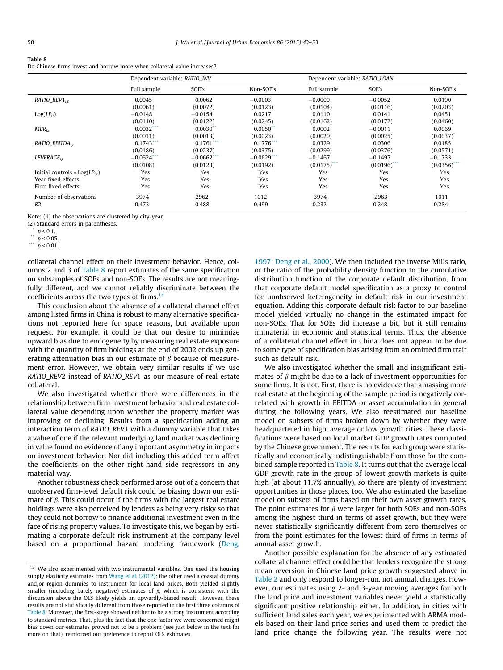#### <span id="page-7-0"></span>Table 8

Do Chinese firms invest and borrow more when collateral value increases?

|                                                | Dependent variable: RATIO INV |               |               | Dependent variable: RATIO LOAN |                           |                |  |
|------------------------------------------------|-------------------------------|---------------|---------------|--------------------------------|---------------------------|----------------|--|
|                                                | Full sample                   | SOE's         | Non-SOE's     | Full sample                    | SOE's                     | Non-SOE's      |  |
| RATIO $REV1_{i,t}$                             | 0.0045                        | 0.0062        | $-0.0003$     | $-0.0000$                      | $-0.0052$                 | 0.0190         |  |
|                                                | (0.0061)                      | (0.0072)      | (0.0123)      | (0.0104)                       | (0.0116)                  | (0.0203)       |  |
| $Log(LP_{it})$                                 | $-0.0148$                     | $-0.0154$     | 0.0217        | 0.0110                         | 0.0141                    | 0.0451         |  |
|                                                | (0.0110)                      | (0.0122)      | (0.0245)      | (0.0162)                       | (0.0172)                  | (0.0460)       |  |
| $MBR_{i,t}$                                    | 0.0032                        | 0.0030        | 0.0050        | 0.0002                         | $-0.0011$                 | 0.0069         |  |
|                                                | (0.0011)                      | (0.0013)      | (0.0023)      | (0.0020)                       | (0.0025)                  | (0.0037)       |  |
| RATIO EBITDA <sub>it</sub>                     | $0.1743$ ***                  | $0.1761$ ***  | $0.1776$ ***  | 0.0329                         | 0.0306                    | 0.0185         |  |
|                                                | (0.0186)                      | (0.0237)      | (0.0375)      | (0.0299)                       | (0.0376)                  | (0.0571)       |  |
| $LEVERAGE_{i,t}$                               | $-0.0624$ ***                 | $-0.0662$ *** | $-0.0629$ *** | $-0.1467$                      | $-0.1497$                 | $-0.1733$      |  |
|                                                | (0.0108)                      | (0.0123)      | (0.0192)      | $(0.0175)$ ***                 | $(0.0196)$ <sup>***</sup> | $(0.0356)$ *** |  |
| Initial controls $\ast$ Log(LP <sub>it</sub> ) | Yes                           | Yes           | Yes           | Yes                            | Yes                       | Yes            |  |
| Year fixed effects                             | Yes                           | Yes           | Yes           | Yes                            | Yes                       | Yes            |  |
| Firm fixed effects                             | Yes                           | Yes           | Yes           | Yes                            | Yes                       | Yes            |  |
| Number of observations                         | 3974                          | 2962          | 1012          | 3974                           | 2963                      | 1011           |  |
| R <sub>2</sub>                                 | 0.473                         | 0.488         | 0.499         | 0.232                          | 0.248                     | 0.284          |  |

Note: (1) the observations are clustered by city-year.

(2) Standard errors in parentheses.

 $\sum_{n=1}^{\infty} p < 0.1$ .

collateral channel effect on their investment behavior. Hence, columns 2 and 3 of Table 8 report estimates of the same specification on subsamples of SOEs and non-SOEs. The results are not meaningfully different, and we cannot reliably discriminate between the coefficients across the two types of firms. $^{13}$ 

This conclusion about the absence of a collateral channel effect among listed firms in China is robust to many alternative specifications not reported here for space reasons, but available upon request. For example, it could be that our desire to minimize upward bias due to endogeneity by measuring real estate exposure with the quantity of firm holdings at the end of 2002 ends up generating attenuation bias in our estimate of  $\beta$  because of measurement error. However, we obtain very similar results if we use RATIO\_REV2 instead of RATIO\_REV1 as our measure of real estate collateral.

We also investigated whether there were differences in the relationship between firm investment behavior and real estate collateral value depending upon whether the property market was improving or declining. Results from a specification adding an interaction term of RATIO\_REV1 with a dummy variable that takes a value of one if the relevant underlying land market was declining in value found no evidence of any important asymmetry in impacts on investment behavior. Nor did including this added term affect the coefficients on the other right-hand side regressors in any material way.

Another robustness check performed arose out of a concern that unobserved firm-level default risk could be biasing down our estimate of  $\beta$ . This could occur if the firms with the largest real estate holdings were also perceived by lenders as being very risky so that they could not borrow to finance additional investment even in the face of rising property values. To investigate this, we began by estimating a corporate default risk instrument at the company level based on a proportional hazard modeling framework [\(Deng,](#page-10-0) [1997; Deng et al., 2000\)](#page-10-0). We then included the inverse Mills ratio, or the ratio of the probability density function to the cumulative distribution function of the corporate default distribution, from that corporate default model specification as a proxy to control for unobserved heterogeneity in default risk in our investment equation. Adding this corporate default risk factor to our baseline model yielded virtually no change in the estimated impact for non-SOEs. That for SOEs did increase a bit, but it still remains immaterial in economic and statistical terms. Thus, the absence of a collateral channel effect in China does not appear to be due to some type of specification bias arising from an omitted firm trait such as default risk.

We also investigated whether the small and insignificant estimates of  $\beta$  might be due to a lack of investment opportunities for some firms. It is not. First, there is no evidence that amassing more real estate at the beginning of the sample period is negatively correlated with growth in EBITDA or asset accumulation in general during the following years. We also reestimated our baseline model on subsets of firms broken down by whether they were headquartered in high, average or low growth cities. These classifications were based on local market GDP growth rates computed by the Chinese government. The results for each group were statistically and economically indistinguishable from those for the combined sample reported in Table 8. It turns out that the average local GDP growth rate in the group of lowest growth markets is quite high (at about 11.7% annually), so there are plenty of investment opportunities in those places, too. We also estimated the baseline model on subsets of firms based on their own asset growth rates. The point estimates for  $\beta$  were larger for both SOEs and non-SOEs among the highest third in terms of asset growth, but they were never statistically significantly different from zero themselves or from the point estimates for the lowest third of firms in terms of annual asset growth.

Another possible explanation for the absence of any estimated collateral channel effect could be that lenders recognize the strong mean reversion in Chinese land price growth suggested above in [Table 2](#page-3-0) and only respond to longer-run, not annual, changes. However, our estimates using 2- and 3-year moving averages for both the land price and investment variables never yield a statistically significant positive relationship either. In addition, in cities with sufficient land sales each year, we experimented with ARMA models based on their land price series and used them to predict the land price change the following year. The results were not

 $p < 0.05$ .

<sup>\*\*\*</sup>  $p$  < 0.01.

<sup>&</sup>lt;sup>13</sup> We also experimented with two instrumental variables. One used the housing supply elasticity estimates from [Wang et al. \(2012\)](#page-10-0); the other used a coastal dummy and/or region dummies to instrument for local land prices. Both yielded slightly smaller (including barely negative) estimates of  $\beta$ , which is consistent with the discussion above the OLS likely yields an upwardly-biased result. However, these results are not statistically different from those reported in the first three columns of Table 8. Moreover, the first-stage showed neither to be a strong instrument according to standard metrics. That, plus the fact that the one factor we were concerned might bias down our estimates proved not to be a problem (see just below in the text for more on that), reinforced our preference to report OLS estimates.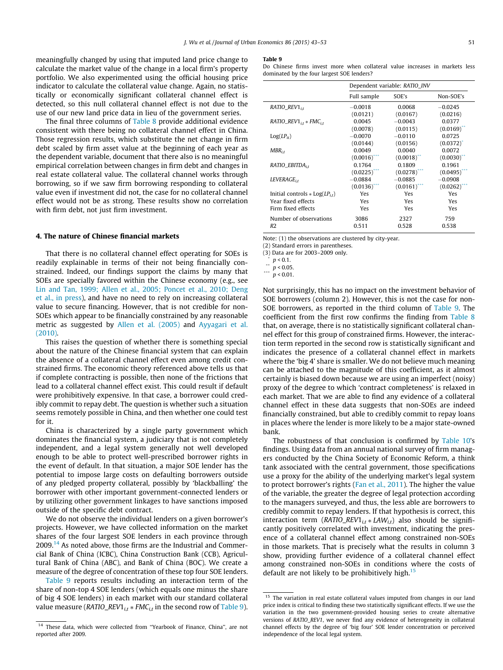<span id="page-8-0"></span>meaningfully changed by using that imputed land price change to calculate the market value of the change in a local firm's property portfolio. We also experimented using the official housing price indicator to calculate the collateral value change. Again, no statistically or economically significant collateral channel effect is detected, so this null collateral channel effect is not due to the use of our new land price data in lieu of the government series.

The final three columns of [Table 8](#page-7-0) provide additional evidence consistent with there being no collateral channel effect in China. Those regression results, which substitute the net change in firm debt scaled by firm asset value at the beginning of each year as the dependent variable, document that there also is no meaningful empirical correlation between changes in firm debt and changes in real estate collateral value. The collateral channel works through borrowing, so if we saw firm borrowing responding to collateral value even if investment did not, the case for no collateral channel effect would not be as strong. These results show no correlation with firm debt, not just firm investment.

# 4. The nature of Chinese financial markets

That there is no collateral channel effect operating for SOEs is readily explainable in terms of their not being financially constrained. Indeed, our findings support the claims by many that SOEs are specially favored within the Chinese economy (e.g., see [Lin and Tan, 1999; Allen et al., 2005; Poncet et al., 2010; Deng](#page-10-0) [et al., in press\)](#page-10-0), and have no need to rely on increasing collateral value to secure financing. However, that is not credible for non-SOEs which appear to be financially constrained by any reasonable metric as suggested by [Allen et al. \(2005\)](#page-10-0) and [Ayyagari et al.](#page-10-0) [\(2010\)](#page-10-0).

This raises the question of whether there is something special about the nature of the Chinese financial system that can explain the absence of a collateral channel effect even among credit constrained firms. The economic theory referenced above tells us that if complete contracting is possible, then none of the frictions that lead to a collateral channel effect exist. This could result if default were prohibitively expensive. In that case, a borrower could credibly commit to repay debt. The question is whether such a situation seems remotely possible in China, and then whether one could test for it.

China is characterized by a single party government which dominates the financial system, a judiciary that is not completely independent, and a legal system generally not well developed enough to be able to protect well-prescribed borrower rights in the event of default. In that situation, a major SOE lender has the potential to impose large costs on defaulting borrowers outside of any pledged property collateral, possibly by 'blackballing' the borrower with other important government-connected lenders or by utilizing other government linkages to have sanctions imposed outside of the specific debt contract.

We do not observe the individual lenders on a given borrower's projects. However, we have collected information on the market shares of the four largest SOE lenders in each province through 2009.14 As noted above, those firms are the Industrial and Commercial Bank of China (ICBC), China Construction Bank (CCB), Agricultural Bank of China (ABC), and Bank of China (BOC). We create a measure of the degree of concentration of these top four SOE lenders.

Table 9 reports results including an interaction term of the share of non-top 4 SOE lenders (which equals one minus the share of big 4 SOE lenders) in each market with our standard collateral value measure (RATIO\_REV1<sub>i,t</sub>  $*$  FMC<sub>i,t</sub> in the second row of Table 9).

### Table 9

Do Chinese firms invest more when collateral value increases in markets less dominated by the four largest SOE lenders?

|                                                | Dependent variable: RATIO INV |                           |                |  |
|------------------------------------------------|-------------------------------|---------------------------|----------------|--|
|                                                | Full sample                   | SOE's                     | Non-SOE's      |  |
| RATIO $REVI_{it}$                              | $-0.0018$                     | 0.0068                    | $-0.0245$      |  |
|                                                | (0.0121)                      | (0.0167)                  | (0.0216)       |  |
| $RATIO\_REV1_{i,t}*FMC_{i,t}$                  | 0.0045                        | $-0.0043$                 | 0.0377         |  |
|                                                | (0.0078)                      | (0.0115)                  | (0.0169)       |  |
| $Log(LP_{it})$                                 | $-0.0070$                     | $-0.0110$                 | 0.0725         |  |
|                                                | (0.0144)                      | (0.0156)                  | $(0.0372)^{*}$ |  |
| $MBR_{i,t}$                                    | 0.0049                        | 0.0040                    | 0.0072         |  |
|                                                | $(0.0016)$ <sup>**</sup>      | $(0.0018)$ <sup>***</sup> | (0.0030)       |  |
| RATIO_EBITDA <sub>it</sub>                     | 0.1764                        | 0.1809                    | 0.1961         |  |
|                                                | (0.0225)                      | $(0.0278)$ <sup>***</sup> | (0.0495)       |  |
| $LEVERAGE_{i,t}$                               | $-0.0884$                     | $-0.0885$                 | $-0.0908$      |  |
|                                                | (0.0136)                      | (0.0161)                  | (0.0262)       |  |
| Initial controls $\ast$ Log(LP <sub>it</sub> ) | Yes                           | Yes                       | Yes            |  |
| Year fixed effects                             | Yes                           | Yes                       | Yes            |  |
| Firm fixed effects                             | Yes                           | Yes                       | Yes            |  |
| Number of observations                         | 3086                          | 2327                      | 759            |  |
| R <sub>2</sub>                                 | 0.511                         | 0.528                     | 0.538          |  |

Note: (1) the observations are clustered by city-year.

(2) Standard errors in parentheses.

(3) Data are for 2003–2009 only.

Not surprisingly, this has no impact on the investment behavior of SOE borrowers (column 2). However, this is not the case for non-SOE borrowers, as reported in the third column of Table 9. The coefficient from the first row confirms the finding from [Table 8](#page-7-0) that, on average, there is no statistically significant collateral channel effect for this group of constrained firms. However, the interaction term reported in the second row is statistically significant and indicates the presence of a collateral channel effect in markets where the 'big 4' share is smaller. We do not believe much meaning can be attached to the magnitude of this coefficient, as it almost certainly is biased down because we are using an imperfect (noisy) proxy of the degree to which 'contract completeness' is relaxed in each market. That we are able to find any evidence of a collateral channel effect in these data suggests that non-SOEs are indeed financially constrained, but able to credibly commit to repay loans in places where the lender is more likely to be a major state-owned bank.

The robustness of that conclusion is confirmed by [Table 10](#page-9-0)'s findings. Using data from an annual national survey of firm managers conducted by the China Society of Economic Reform, a think tank associated with the central government, those specifications use a proxy for the ability of the underlying market's legal system to protect borrower's rights ([Fan et al., 2011\)](#page-10-0). The higher the value of the variable, the greater the degree of legal protection according to the managers surveyed, and thus, the less able are borrowers to credibly commit to repay lenders. If that hypothesis is correct, this interaction term (RATIO\_REV1 $_{i,t}$  \* LAW $_{i,t}$ ) also should be significantly positively correlated with investment, indicating the presence of a collateral channel effect among constrained non-SOEs in those markets. That is precisely what the results in column 3 show, providing further evidence of a collateral channel effect among constrained non-SOEs in conditions where the costs of default are not likely to be prohibitively high. $15$ 

<sup>&</sup>lt;sup>14</sup> These data, which were collected from "Yearbook of Finance, China", are not reported after 2009.

<sup>\*</sup>  $p < 0.1$ .

 $p < 0.05$ .

<sup>\*\*\*</sup>  $p$  < 0.01.

 $15\,$  The variation in real estate collateral values imputed from changes in our land price index is critical to finding these two statistically significant effects. If we use the variation in the two government-provided housing series to create alternative versions of RATIO\_REV1, we never find any evidence of heterogeneity in collateral channel effects by the degree of 'big four' SOE lender concentration or perceived independence of the local legal system.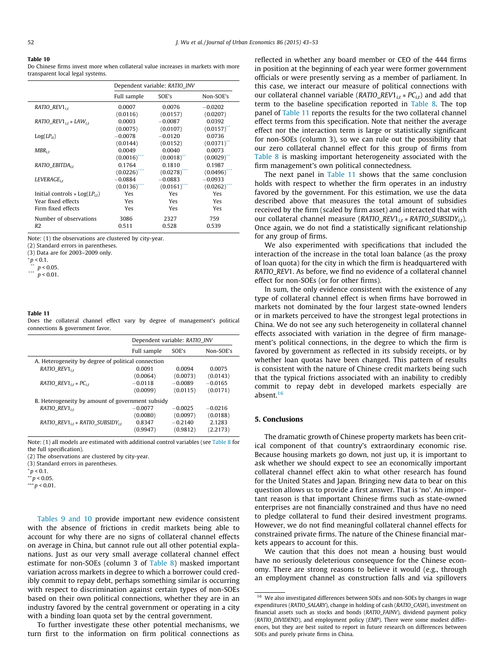#### <span id="page-9-0"></span>Table 10

Do Chinese firms invest more when collateral value increases in markets with more transparent local legal systems.

|                                                | Dependent variable: RATIO INV |                           |           |  |
|------------------------------------------------|-------------------------------|---------------------------|-----------|--|
|                                                | Full sample                   | SOE's                     | Non-SOE's |  |
| $RATIO$ <sub>REV1<sub>it</sub></sub>           | 0.0007                        | 0.0076                    | $-0.0202$ |  |
|                                                | (0.0116)                      | (0.0157)                  | (0.0207)  |  |
| $RATIO\_REV1_{i,t}*LAW_{i,t}$                  | 0.0003                        | $-0.0087$                 | 0.0392    |  |
|                                                | (0.0075)                      | (0.0107)                  | (0.0157)  |  |
| $Log(LP_{it})$                                 | $-0.0078$                     | $-0.0120$                 | 0.0736    |  |
|                                                | (0.0144)                      | (0.0152)                  | (0.0371)  |  |
| $MBR_{i,t}$                                    | 0.0049                        | 0.0040                    | 0.0073    |  |
|                                                | $(0.0016)$ <sup>**</sup>      | $(0.0018)$ <sup>**</sup>  | (0.0029)  |  |
| RATIO EBITDA <sub>it</sub>                     | 0.1764                        | 0.1810                    | 0.1987    |  |
|                                                | (0.0226)                      | $(0.0278)$ <sup>***</sup> | (0.0496)  |  |
| $LEVERAGE_{i.t}$                               | $-0.0884$                     | $-0.0883$                 | $-0.0933$ |  |
|                                                | (0.0136)                      | $(0.0161)$ ***            | (0.0262)  |  |
| Initial controls $\ast$ Log(LP <sub>it</sub> ) | <b>Yes</b>                    | Yes                       | Yes       |  |
| Year fixed effects                             | Yes                           | <b>Yes</b>                | Yes       |  |
| Firm fixed effects                             | Yes                           | Yes                       | Yes       |  |
| Number of observations                         | 3086                          | 2327                      | 759       |  |
| R <sub>2</sub>                                 | 0.511                         | 0.528                     | 0.539     |  |

Note: (1) the observations are clustered by city-year.

(2) Standard errors in parentheses.

(3) Data are for 2003–2009 only.

 $^*p_{**}$  < 0.1.

\*\*  $p < 0.05$ .

 $p < 0.01$ .

### Table 11

Does the collateral channel effect vary by degree of management's political connections & government favor.

|                                                    | Dependent variable: RATIO INV |           |           |  |  |
|----------------------------------------------------|-------------------------------|-----------|-----------|--|--|
|                                                    | Full sample                   | SOE's     | Non-SOE's |  |  |
| A. Heterogeneity by degree of political connection |                               |           |           |  |  |
| RATIO $REVI_{it}$                                  | 0.0091                        | 0.0094    | 0.0075    |  |  |
|                                                    | (0.0064)                      | (0.0073)  | (0.0143)  |  |  |
| $RATIO\_REV1_{i,t}*PC_{i,t}$                       | $-0.0118$                     | $-0.0089$ | $-0.0165$ |  |  |
|                                                    | (0.0099)                      | (0.0115)  | (0.0171)  |  |  |
| B. Heterogeneity by amount of government subsidy   |                               |           |           |  |  |
| RATIO $REV1_{it}$                                  | $-0.0077$                     | $-0.0025$ | $-0.0216$ |  |  |
|                                                    | (0.0080)                      | (0.0097)  | (0.0188)  |  |  |
| RATIO REV1 $_{i,t}$ * RATIO SUBSIDY $_{i,t}$       | 0.8347                        | $-0.2140$ | 2.1283    |  |  |
|                                                    | (0.9947)                      | (0.9812)  | (2.2173)  |  |  |

Note: (1) all models are estimated with additional control variables (see [Table 8](#page-7-0) for the full specification).

(2) The observations are clustered by city-year.

(3) Standard errors in parentheses.

 $* p < 0.1$ .

 $*$ *p* < 0.05.

 $***p < 0.01$ .

[Tables 9 and 10](#page-8-0) provide important new evidence consistent with the absence of frictions in credit markets being able to account for why there are no signs of collateral channel effects on average in China, but cannot rule out all other potential explanations. Just as our very small average collateral channel effect estimate for non-SOEs (column 3 of [Table 8](#page-7-0)) masked important variation across markets in degree to which a borrower could credibly commit to repay debt, perhaps something similar is occurring with respect to discrimination against certain types of non-SOEs based on their own political connections, whether they are in an industry favored by the central government or operating in a city with a binding loan quota set by the central government.

To further investigate these other potential mechanisms, we turn first to the information on firm political connections as

reflected in whether any board member or CEO of the 444 firms in position at the beginning of each year were former government officials or were presently serving as a member of parliament. In this case, we interact our measure of political connections with our collateral channel variable ( $RATIO\_REV1_{i,t} * PC_{i,t}$ ) and add that term to the baseline specification reported in [Table 8](#page-7-0). The top panel of Table 11 reports the results for the two collateral channel effect terms from this specification. Note that neither the average effect nor the interaction term is large or statistically significant for non-SOEs (column 3), so we can rule out the possibility that our zero collateral channel effect for this group of firms from [Table 8](#page-7-0) is masking important heterogeneity associated with the firm management's own political connectedness.

The next panel in Table 11 shows that the same conclusion holds with respect to whether the firm operates in an industry favored by the government. For this estimation, we use the data described above that measures the total amount of subsidies received by the firm (scaled by firm asset) and interacted that with our collateral channel measure ( $RATIO\_REV1_{it} * RATIO\_SUBSIDY_{it}$ ). Once again, we do not find a statistically significant relationship for any group of firms.

We also experimented with specifications that included the interaction of the increase in the total loan balance (as the proxy of loan quota) for the city in which the firm is headquartered with RATIO\_REV1. As before, we find no evidence of a collateral channel effect for non-SOEs (or for other firms).

In sum, the only evidence consistent with the existence of any type of collateral channel effect is when firms have borrowed in markets not dominated by the four largest state-owned lenders or in markets perceived to have the strongest legal protections in China. We do not see any such heterogeneity in collateral channel effects associated with variation in the degree of firm management's political connections, in the degree to which the firm is favored by government as reflected in its subsidy receipts, or by whether loan quotas have been changed. This pattern of results is consistent with the nature of Chinese credit markets being such that the typical frictions associated with an inability to credibly commit to repay debt in developed markets especially are absent.16

### 5. Conclusions

The dramatic growth of Chinese property markets has been critical component of that country's extraordinary economic rise. Because housing markets go down, not just up, it is important to ask whether we should expect to see an economically important collateral channel effect akin to what other research has found for the United States and Japan. Bringing new data to bear on this question allows us to provide a first answer. That is 'no'. An important reason is that important Chinese firms such as state-owned enterprises are not financially constrained and thus have no need to pledge collateral to fund their desired investment programs. However, we do not find meaningful collateral channel effects for constrained private firms. The nature of the Chinese financial markets appears to account for this.

We caution that this does not mean a housing bust would have no seriously deleterious consequence for the Chinese economy. There are strong reasons to believe it would (e.g., through an employment channel as construction falls and via spillovers

 $^{16}\,$  We also investigated differences between SOEs and non-SOEs by changes in wage expenditures (RATIO\_SALARY), change in holding of cash (RATIO\_CASH), investment on financial assets such as stocks and bonds (RATIO\_FAINV), dividend payment policy (RATIO\_DIVIDEND), and employment policy (EMP). There were some modest differences, but they are best suited to report in future research on differences between SOEs and purely private firms in China.